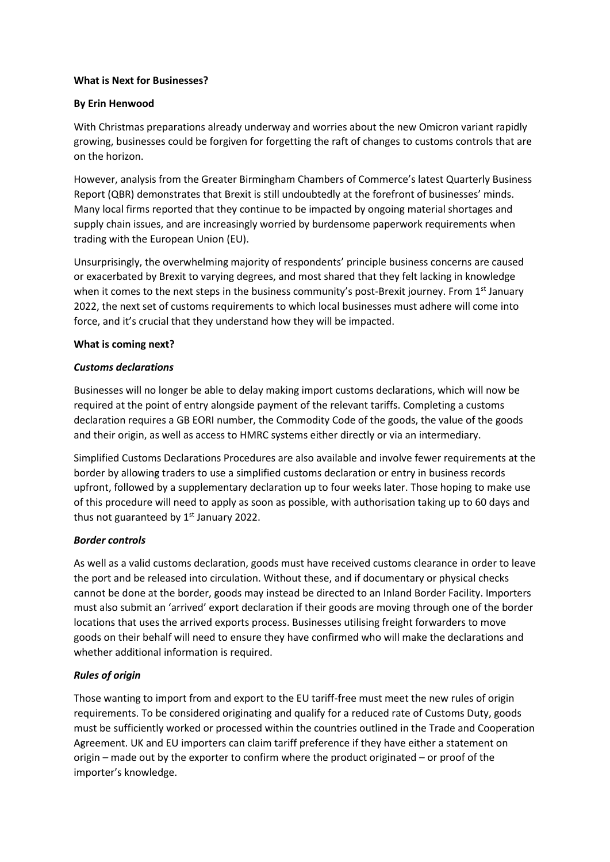### **What is Next for Businesses?**

### **By Erin Henwood**

With Christmas preparations already underway and worries about the new Omicron variant rapidly growing, businesses could be forgiven for forgetting the raft of changes to customs controls that are on the horizon.

However, analysis from the Greater Birmingham Chambers of Commerce's latest Quarterly Business Report (QBR) demonstrates that Brexit is still undoubtedly at the forefront of businesses' minds. Many local firms reported that they continue to be impacted by ongoing material shortages and supply chain issues, and are increasingly worried by burdensome paperwork requirements when trading with the European Union (EU).

Unsurprisingly, the overwhelming majority of respondents' principle business concerns are caused or exacerbated by Brexit to varying degrees, and most shared that they felt lacking in knowledge when it comes to the next steps in the business community's post-Brexit journey. From 1<sup>st</sup> January 2022, the next set of customs requirements to which local businesses must adhere will come into force, and it's crucial that they understand how they will be impacted.

#### **What is coming next?**

### *Customs declarations*

Businesses will no longer be able to delay making import customs declarations, which will now be required at the point of entry alongside payment of the relevant tariffs. Completing a customs declaration requires a GB EORI number, the Commodity Code of the goods, the value of the goods and their origin, as well as access to HMRC systems either directly or via an intermediary.

Simplified Customs Declarations Procedures are also available and involve fewer requirements at the border by allowing traders to use a simplified customs declaration or entry in business records upfront, followed by a supplementary declaration up to four weeks later. Those hoping to make use of this procedure will need to apply as soon as possible, with authorisation taking up to 60 days and thus not guaranteed by 1<sup>st</sup> January 2022.

# *Border controls*

As well as a valid customs declaration, goods must have received customs clearance in order to leave the port and be released into circulation. Without these, and if documentary or physical checks cannot be done at the border, goods may instead be directed to an Inland Border Facility. Importers must also submit an 'arrived' export declaration if their goods are moving through one of the border locations that uses the arrived exports process. Businesses utilising freight forwarders to move goods on their behalf will need to ensure they have confirmed who will make the declarations and whether additional information is required.

# *Rules of origin*

Those wanting to import from and export to the EU tariff-free must meet the new rules of origin requirements. To be considered originating and qualify for a reduced rate of Customs Duty, goods must be sufficiently worked or processed within the countries outlined in the Trade and Cooperation Agreement. UK and EU importers can claim tariff preference if they have either a statement on origin – made out by the exporter to confirm where the product originated – or proof of the importer's knowledge.